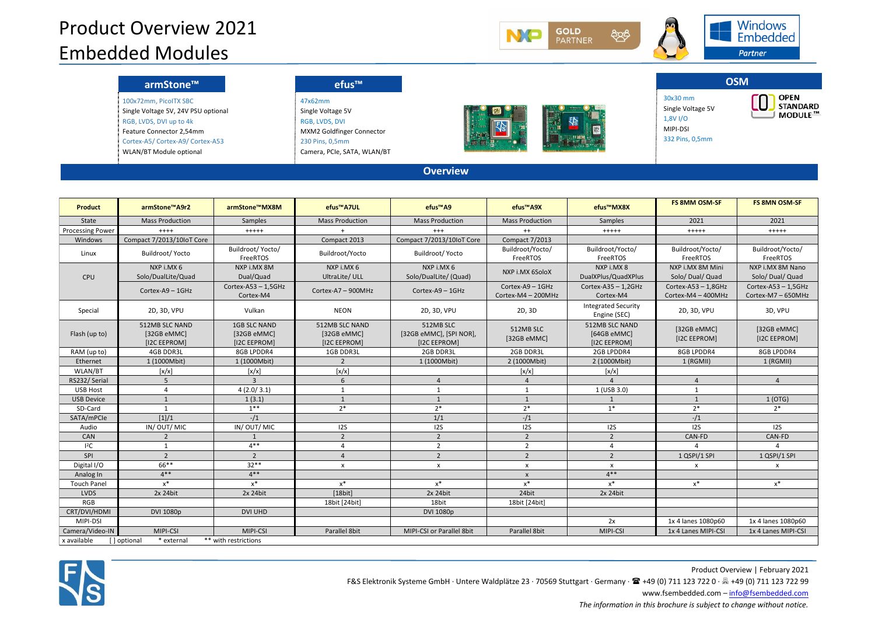## Product Overview 2021 Embedded Modules





| armStone™                           | efus <sup>™</sup>           |                   | <b>OSM</b>                              |
|-------------------------------------|-----------------------------|-------------------|-----------------------------------------|
| 100x72mm, PicolTX SBC               | 47x62mm                     | 30x30 mm          | <b>OPEN</b>                             |
| Single Voltage 5V, 24V PSU optional | Single Voltage 5V           | Single Voltage 5V | <b>STANDARD</b><br>ᄕ<br><b>MODULE</b> ™ |
| RGB, LVDS, DVI up to 4k             | RGB, LVDS, DVI              | $1,8V$ I/O        |                                         |
| Feature Connector 2,54mm            | MXM2 Goldfinger Connector   | MIPI-DSI          |                                         |
| Cortex-A5/Cortex-A9/Cortex-A53      | 230 Pins, 0,5mm             | 332 Pins, 0,5mm   |                                         |
| WLAN/BT Module optional             | Camera, PCIe, SATA, WLAN/BT |                   |                                         |

**Overview**

|                                                                   |                                               |                                                    | efus™A7UL                                     | efus <sup>™</sup> A9                                 | efus <sup>™</sup> A9X                  | efus <sup>™</sup> MX8X                        | <b>FS 8MM OSM-SF</b>                         | <b>FS 8MN OSM-SF</b>                       |
|-------------------------------------------------------------------|-----------------------------------------------|----------------------------------------------------|-----------------------------------------------|------------------------------------------------------|----------------------------------------|-----------------------------------------------|----------------------------------------------|--------------------------------------------|
| <b>Product</b>                                                    | armStone™A9r2                                 | armStone™MX8M                                      |                                               |                                                      |                                        |                                               |                                              |                                            |
| State                                                             | <b>Mass Production</b>                        | Samples                                            | <b>Mass Production</b>                        | <b>Mass Production</b>                               | <b>Mass Production</b>                 | Samples                                       | 2021                                         | 2021                                       |
| <b>Processing Power</b>                                           | $++++$                                        | $+++++$                                            |                                               | $^{++}$                                              | $^{++}$                                | $+++++$                                       | $+++++$                                      | $+++++$                                    |
| Windows                                                           | Compact 7/2013/10IoT Core                     |                                                    | Compact 2013                                  | Compact 7/2013/10IoT Core                            | Compact 7/2013                         |                                               |                                              |                                            |
| Linux                                                             | Buildroot/Yocto                               | Buildroot/Yocto/<br>FreeRTOS                       | Buildroot/Yocto                               | Buildroot/Yocto                                      | Buildroot/Yocto/<br>FreeRTOS           | Buildroot/Yocto/<br>FreeRTOS                  | Buildroot/Yocto/<br>FreeRTOS                 | Buildroot/Yocto/<br>FreeRTOS               |
| CPU                                                               | NXP i.MX 6<br>Solo/DualLite/Quad              | NXP i.MX 8M<br>Dual/Quad                           | NXP i.MX 6<br>UltraLite/ ULL                  | NXP i.MX 6<br>Solo/DualLite/ (Quad)                  | NXP i.MX 6SoloX                        | NXP i.MX8<br>DualXPlus/QuadXPlus              | NXP i.MX 8M Mini<br>Solo/ Dual/ Quad         | NXP i.MX 8M Nano<br>Solo/Dual/Quad         |
|                                                                   | Cortex-A9 - 1GHz                              | Cortex-A53 $- 1,5$ GHz<br>Cortex-M4                | Cortex-A7 - 900MHz                            | $Cortex-A9-1GHz$                                     | Cortex-A9 - 1GHz<br>Cortex-M4 - 200MHz | Cortex-A35 $- 1,2$ GHz<br>Cortex-M4           | Cortex-A53 $- 1,8$ GHz<br>Cortex-M4 - 400MHz | Cortex-A53 $- 1,5$ GHz<br>Cortex-M7-650MHz |
| Special                                                           | 2D, 3D, VPU                                   | Vulkan                                             | <b>NEON</b>                                   | 2D, 3D, VPU                                          | 2D, 3D                                 | <b>Integrated Security</b><br>Engine (SEC)    | 2D, 3D, VPU                                  | 3D, VPU                                    |
| Flash (up to)                                                     | 512MB SLC NAND<br>[32GB eMMC]<br>[I2C EEPROM] | <b>1GB SLC NAND</b><br>[32GB eMMC]<br>[I2C EEPROM] | 512MB SLC NAND<br>[32GB eMMC]<br>[I2C EEPROM] | 512MB SLC<br>[32GB eMMC], [SPI NOR],<br>[I2C EEPROM] | 512MB SLC<br>[32GB eMMC]               | 512MB SLC NAND<br>[64GB eMMC]<br>[I2C EEPROM] | [32GB eMMC]<br>[I2C EEPROM]                  | [32GB eMMC]<br>[I2C EEPROM]                |
| RAM (up to)                                                       | 4GB DDR3L                                     | 8GB LPDDR4                                         | 1GB DDR3L                                     | 2GB DDR3L                                            | 2GB DDR3L                              | 2GB LPDDR4                                    | 8GB LPDDR4                                   | 8GB LPDDR4                                 |
| Ethernet                                                          | 1 (1000Mbit)                                  | 1 (1000Mbit)                                       | $\overline{2}$                                | 1 (1000Mbit)                                         | 2 (1000Mbit)                           | 2 (1000Mbit)                                  | 1 (RGMII)                                    | 1 (RGMII)                                  |
| WLAN/BT                                                           | [x/x]                                         | [x/x]                                              | [x/x]                                         |                                                      | [x/x]                                  | [x/x]                                         |                                              |                                            |
| RS232/Serial                                                      | 5                                             | 3                                                  | 6                                             | $\overline{4}$                                       | $\overline{4}$                         | $\Delta$                                      | $\overline{4}$                               | $\overline{4}$                             |
| <b>USB Host</b>                                                   | $\overline{a}$                                | 4(2.0/3.1)                                         | 1                                             | 1                                                    | 1                                      | 1 (USB 3.0)                                   | 1                                            |                                            |
| <b>USB Device</b>                                                 | $\mathbf{1}$                                  | 1(3.1)                                             | 1                                             | 1                                                    | 1                                      | 1                                             | 1                                            | 1(OTG)                                     |
| SD-Card                                                           | 1                                             | $1***$                                             | $2*$                                          | $2*$                                                 | $2*$                                   | $1*$                                          | $2*$                                         | $2*$                                       |
| SATA/mPCle                                                        | [1]/1                                         | $-1/1$                                             |                                               | 1/1                                                  | $-1/1$                                 |                                               | $-1/1$                                       |                                            |
| Audio                                                             | IN/OUT/MIC                                    | IN/OUT/MIC                                         | 125                                           | 125                                                  | 125                                    | 125                                           | 125                                          | 125                                        |
| CAN                                                               | $\overline{2}$                                | $\mathbf{1}$                                       | $\overline{2}$                                | $\overline{2}$                                       | $\overline{2}$                         | $\overline{2}$                                | CAN-FD                                       | CAN-FD                                     |
| 12C                                                               | $\mathbf{1}$                                  | $4***$                                             | $\Delta$                                      | $\overline{2}$                                       | $\overline{2}$                         | $\overline{4}$                                |                                              |                                            |
| SPI                                                               | $\overline{2}$                                | $\overline{2}$                                     | $\Delta$                                      | $\overline{2}$                                       | $\overline{2}$                         | $\overline{2}$                                | 1 QSPI/1 SPI                                 | 1 QSPI/1 SPI                               |
| Digital I/O                                                       | 66**                                          | $32**$                                             | $\mathsf{x}$                                  | $\pmb{\times}$                                       | X                                      | $\boldsymbol{\mathsf{x}}$                     | x                                            | X                                          |
| Analog In                                                         | $4***$                                        | $4***$                                             |                                               |                                                      | $\pmb{\mathsf{X}}$                     | $4***$                                        |                                              |                                            |
| <b>Touch Panel</b>                                                | $x^*$                                         | $x^*$                                              | $x^*$                                         | $x^*$                                                | $x^*$                                  | $x^*$                                         | $x^*$                                        | $x^*$                                      |
| <b>LVDS</b>                                                       | 2x 24bit                                      | 2x 24bit                                           | [18bit]                                       | 2x 24bit                                             | 24bit                                  | 2x 24bit                                      |                                              |                                            |
| <b>RGB</b>                                                        |                                               |                                                    | 18bit [24bit]                                 | 18bit                                                | 18bit [24bit]                          |                                               |                                              |                                            |
| CRT/DVI/HDMI                                                      | DVI 1080p                                     | DVI UHD                                            |                                               | <b>DVI 1080p</b>                                     |                                        |                                               |                                              |                                            |
| MIPI-DSI                                                          |                                               |                                                    |                                               |                                                      |                                        | 2x                                            | 1x 4 lanes 1080p60                           | 1x 4 lanes 1080p60                         |
| Camera/Video-IN                                                   | MIPI-CSI                                      | MIPI-CSI                                           | Parallel 8bit                                 | MIPI-CSI or Parallel 8bit                            | Parallel 8bit                          | MIPI-CSI                                      | 1x 4 Lanes MIPI-CSI                          | 1x 4 Lanes MIPI-CSI                        |
| x available<br>** with restrictions<br>* external<br>[ ] optional |                                               |                                                    |                                               |                                                      |                                        |                                               |                                              |                                            |



Product Overview | February 2021 F&S Elektronik Systeme GmbH · Untere Waldplätze 23 · 70569 Stuttgart · Germany ·  $^{\circ}\mathbf{2}$  +49 (0) 711 123 722 0 · ... +49 (0) 711 123 722 99 www.fsembedded.com – [info@fsembedded.com](mailto:info@fsembedded.com) *The information in this brochure is subject to change without notice.*